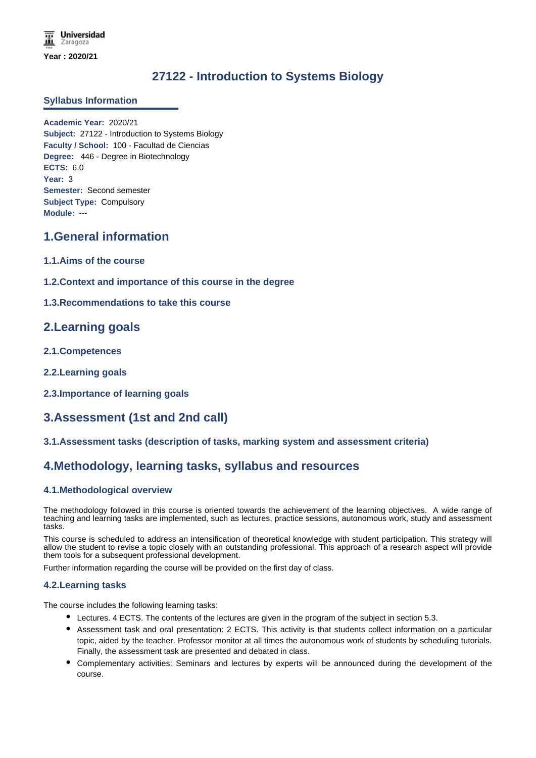# **27122 - Introduction to Systems Biology**

### **Syllabus Information**

**Academic Year:** 2020/21 **Subject:** 27122 - Introduction to Systems Biology **Faculty / School:** 100 - Facultad de Ciencias **Degree:** 446 - Degree in Biotechnology **ECTS:** 6.0 **Year:** 3 **Semester:** Second semester **Subject Type:** Compulsory **Module:** ---

### **1.General information**

- **1.1.Aims of the course**
- **1.2.Context and importance of this course in the degree**
- **1.3.Recommendations to take this course**

### **2.Learning goals**

- **2.1.Competences**
- **2.2.Learning goals**
- **2.3.Importance of learning goals**

## **3.Assessment (1st and 2nd call)**

### **3.1.Assessment tasks (description of tasks, marking system and assessment criteria)**

### **4.Methodology, learning tasks, syllabus and resources**

### **4.1.Methodological overview**

The methodology followed in this course is oriented towards the achievement of the learning objectives. A wide range of teaching and learning tasks are implemented, such as lectures, practice sessions, autonomous work, study and assessment tasks.

This course is scheduled to address an intensification of theoretical knowledge with student participation. This strategy will allow the student to revise a topic closely with an outstanding professional. This approach of a research aspect will provide them tools for a subsequent professional development.

Further information regarding the course will be provided on the first day of class.

#### **4.2.Learning tasks**

The course includes the following learning tasks:

- Lectures. 4 ECTS. The contents of the lectures are given in the program of the subject in section 5.3.
- Assessment task and oral presentation: 2 ECTS. This activity is that students collect information on a particular topic, aided by the teacher. Professor monitor at all times the autonomous work of students by scheduling tutorials. Finally, the assessment task are presented and debated in class.
- Complementary activities: Seminars and lectures by experts will be announced during the development of the course.